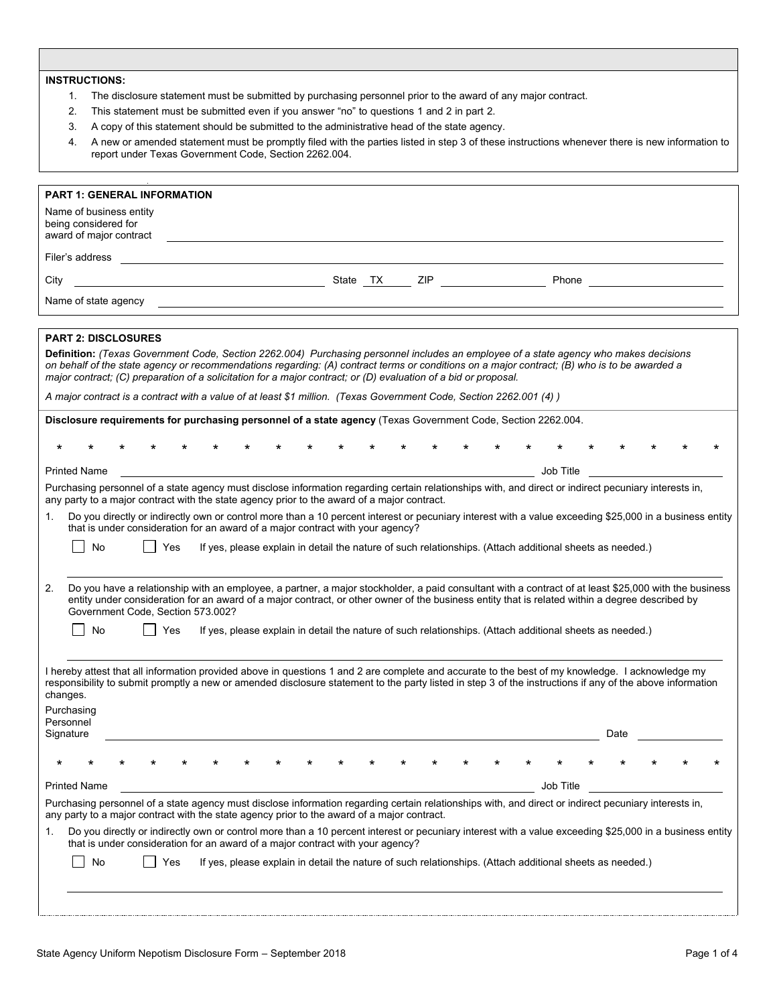## **INSTRUCTIONS:**

- $1.$ The disclosure statement must be submitted by purchasing personnel prior to the award of any major contract.
- 2. This statement must be submitted even if you answer "no" to questions 1 and 2 in part 2.
- $3.$ A copy of this statement should be submitted to the administrative head of the state agency.
- $\overline{4}$ . 4. A new or amended statement must be promptly filed with the parties listed in step 3 of these instructions whenever there is new information to report under Texas Government Code, Section 2262.004.

| Name of business entity<br>being considered for<br>award of major contract<br>Filer's address<br><u>State TX ZIP</u><br>Phone<br>City<br>Name of state agency <b>contains the state and state agency</b><br><b>PART 2: DISCLOSURES</b><br>Definition: (Texas Government Code, Section 2262.004) Purchasing personnel includes an employee of a state agency who makes decisions<br>on behalf of the state agency or recommendations regarding: (A) contract terms or conditions on a major contract; (B) who is to be awarded a<br>major contract; (C) preparation of a solicitation for a major contract; or (D) evaluation of a bid or proposal.<br>A major contract is a contract with a value of at least \$1 million. (Texas Government Code, Section 2262.001 (4))<br>Disclosure requirements for purchasing personnel of a state agency (Texas Government Code, Section 2262.004.<br>$^\star$<br><b>Printed Name</b><br>Job Title<br>Purchasing personnel of a state agency must disclose information regarding certain relationships with, and direct or indirect pecuniary interests in,<br>any party to a major contract with the state agency prior to the award of a major contract.<br>1.<br>Do you directly or indirectly own or control more than a 10 percent interest or pecuniary interest with a value exceeding \$25,000 in a business entity<br>that is under consideration for an award of a major contract with your agency?<br>No<br>Yes<br>If yes, please explain in detail the nature of such relationships. (Attach additional sheets as needed.)<br>2.<br>Do you have a relationship with an employee, a partner, a major stockholder, a paid consultant with a contract of at least \$25,000 with the business<br>entity under consideration for an award of a major contract, or other owner of the business entity that is related within a degree described by<br>Government Code, Section 573.002?<br>No<br>If yes, please explain in detail the nature of such relationships. (Attach additional sheets as needed.)<br>Yes<br>I hereby attest that all information provided above in questions 1 and 2 are complete and accurate to the best of my knowledge. I acknowledge my<br>responsibility to submit promptly a new or amended disclosure statement to the party listed in step 3 of the instructions if any of the above information<br>changes.<br>Purchasing<br>Personnel<br>Signature<br>Date<br><b>Printed Name</b><br>Job Title<br>Purchasing personnel of a state agency must disclose information regarding certain relationships with, and direct or indirect pecuniary interests in,<br>any party to a major contract with the state agency prior to the award of a major contract.<br>Do you directly or indirectly own or control more than a 10 percent interest or pecuniary interest with a value exceeding \$25,000 in a business entity<br>1.<br>that is under consideration for an award of a major contract with your agency?<br>No<br>If yes, please explain in detail the nature of such relationships. (Attach additional sheets as needed.)<br>Yes | <b>PART 1: GENERAL INFORMATION</b> |
|-------------------------------------------------------------------------------------------------------------------------------------------------------------------------------------------------------------------------------------------------------------------------------------------------------------------------------------------------------------------------------------------------------------------------------------------------------------------------------------------------------------------------------------------------------------------------------------------------------------------------------------------------------------------------------------------------------------------------------------------------------------------------------------------------------------------------------------------------------------------------------------------------------------------------------------------------------------------------------------------------------------------------------------------------------------------------------------------------------------------------------------------------------------------------------------------------------------------------------------------------------------------------------------------------------------------------------------------------------------------------------------------------------------------------------------------------------------------------------------------------------------------------------------------------------------------------------------------------------------------------------------------------------------------------------------------------------------------------------------------------------------------------------------------------------------------------------------------------------------------------------------------------------------------------------------------------------------------------------------------------------------------------------------------------------------------------------------------------------------------------------------------------------------------------------------------------------------------------------------------------------------------------------------------------------------------------------------------------------------------------------------------------------------------------------------------------------------------------------------------------------------------------------------------------------------------------------------------------------------------------------------------------------------------------------------------------------------------------------------------------------------------------------------------------------------------------------------------------------------------------------------------------------------------------------------------------------------------------------------------------------------------------------------------------------------------------------------------------------------------|------------------------------------|
|                                                                                                                                                                                                                                                                                                                                                                                                                                                                                                                                                                                                                                                                                                                                                                                                                                                                                                                                                                                                                                                                                                                                                                                                                                                                                                                                                                                                                                                                                                                                                                                                                                                                                                                                                                                                                                                                                                                                                                                                                                                                                                                                                                                                                                                                                                                                                                                                                                                                                                                                                                                                                                                                                                                                                                                                                                                                                                                                                                                                                                                                                                                   |                                    |
|                                                                                                                                                                                                                                                                                                                                                                                                                                                                                                                                                                                                                                                                                                                                                                                                                                                                                                                                                                                                                                                                                                                                                                                                                                                                                                                                                                                                                                                                                                                                                                                                                                                                                                                                                                                                                                                                                                                                                                                                                                                                                                                                                                                                                                                                                                                                                                                                                                                                                                                                                                                                                                                                                                                                                                                                                                                                                                                                                                                                                                                                                                                   |                                    |
|                                                                                                                                                                                                                                                                                                                                                                                                                                                                                                                                                                                                                                                                                                                                                                                                                                                                                                                                                                                                                                                                                                                                                                                                                                                                                                                                                                                                                                                                                                                                                                                                                                                                                                                                                                                                                                                                                                                                                                                                                                                                                                                                                                                                                                                                                                                                                                                                                                                                                                                                                                                                                                                                                                                                                                                                                                                                                                                                                                                                                                                                                                                   |                                    |
|                                                                                                                                                                                                                                                                                                                                                                                                                                                                                                                                                                                                                                                                                                                                                                                                                                                                                                                                                                                                                                                                                                                                                                                                                                                                                                                                                                                                                                                                                                                                                                                                                                                                                                                                                                                                                                                                                                                                                                                                                                                                                                                                                                                                                                                                                                                                                                                                                                                                                                                                                                                                                                                                                                                                                                                                                                                                                                                                                                                                                                                                                                                   |                                    |
|                                                                                                                                                                                                                                                                                                                                                                                                                                                                                                                                                                                                                                                                                                                                                                                                                                                                                                                                                                                                                                                                                                                                                                                                                                                                                                                                                                                                                                                                                                                                                                                                                                                                                                                                                                                                                                                                                                                                                                                                                                                                                                                                                                                                                                                                                                                                                                                                                                                                                                                                                                                                                                                                                                                                                                                                                                                                                                                                                                                                                                                                                                                   |                                    |
|                                                                                                                                                                                                                                                                                                                                                                                                                                                                                                                                                                                                                                                                                                                                                                                                                                                                                                                                                                                                                                                                                                                                                                                                                                                                                                                                                                                                                                                                                                                                                                                                                                                                                                                                                                                                                                                                                                                                                                                                                                                                                                                                                                                                                                                                                                                                                                                                                                                                                                                                                                                                                                                                                                                                                                                                                                                                                                                                                                                                                                                                                                                   |                                    |
|                                                                                                                                                                                                                                                                                                                                                                                                                                                                                                                                                                                                                                                                                                                                                                                                                                                                                                                                                                                                                                                                                                                                                                                                                                                                                                                                                                                                                                                                                                                                                                                                                                                                                                                                                                                                                                                                                                                                                                                                                                                                                                                                                                                                                                                                                                                                                                                                                                                                                                                                                                                                                                                                                                                                                                                                                                                                                                                                                                                                                                                                                                                   |                                    |
|                                                                                                                                                                                                                                                                                                                                                                                                                                                                                                                                                                                                                                                                                                                                                                                                                                                                                                                                                                                                                                                                                                                                                                                                                                                                                                                                                                                                                                                                                                                                                                                                                                                                                                                                                                                                                                                                                                                                                                                                                                                                                                                                                                                                                                                                                                                                                                                                                                                                                                                                                                                                                                                                                                                                                                                                                                                                                                                                                                                                                                                                                                                   |                                    |
|                                                                                                                                                                                                                                                                                                                                                                                                                                                                                                                                                                                                                                                                                                                                                                                                                                                                                                                                                                                                                                                                                                                                                                                                                                                                                                                                                                                                                                                                                                                                                                                                                                                                                                                                                                                                                                                                                                                                                                                                                                                                                                                                                                                                                                                                                                                                                                                                                                                                                                                                                                                                                                                                                                                                                                                                                                                                                                                                                                                                                                                                                                                   |                                    |
|                                                                                                                                                                                                                                                                                                                                                                                                                                                                                                                                                                                                                                                                                                                                                                                                                                                                                                                                                                                                                                                                                                                                                                                                                                                                                                                                                                                                                                                                                                                                                                                                                                                                                                                                                                                                                                                                                                                                                                                                                                                                                                                                                                                                                                                                                                                                                                                                                                                                                                                                                                                                                                                                                                                                                                                                                                                                                                                                                                                                                                                                                                                   |                                    |
|                                                                                                                                                                                                                                                                                                                                                                                                                                                                                                                                                                                                                                                                                                                                                                                                                                                                                                                                                                                                                                                                                                                                                                                                                                                                                                                                                                                                                                                                                                                                                                                                                                                                                                                                                                                                                                                                                                                                                                                                                                                                                                                                                                                                                                                                                                                                                                                                                                                                                                                                                                                                                                                                                                                                                                                                                                                                                                                                                                                                                                                                                                                   |                                    |
|                                                                                                                                                                                                                                                                                                                                                                                                                                                                                                                                                                                                                                                                                                                                                                                                                                                                                                                                                                                                                                                                                                                                                                                                                                                                                                                                                                                                                                                                                                                                                                                                                                                                                                                                                                                                                                                                                                                                                                                                                                                                                                                                                                                                                                                                                                                                                                                                                                                                                                                                                                                                                                                                                                                                                                                                                                                                                                                                                                                                                                                                                                                   |                                    |
|                                                                                                                                                                                                                                                                                                                                                                                                                                                                                                                                                                                                                                                                                                                                                                                                                                                                                                                                                                                                                                                                                                                                                                                                                                                                                                                                                                                                                                                                                                                                                                                                                                                                                                                                                                                                                                                                                                                                                                                                                                                                                                                                                                                                                                                                                                                                                                                                                                                                                                                                                                                                                                                                                                                                                                                                                                                                                                                                                                                                                                                                                                                   |                                    |
|                                                                                                                                                                                                                                                                                                                                                                                                                                                                                                                                                                                                                                                                                                                                                                                                                                                                                                                                                                                                                                                                                                                                                                                                                                                                                                                                                                                                                                                                                                                                                                                                                                                                                                                                                                                                                                                                                                                                                                                                                                                                                                                                                                                                                                                                                                                                                                                                                                                                                                                                                                                                                                                                                                                                                                                                                                                                                                                                                                                                                                                                                                                   |                                    |
|                                                                                                                                                                                                                                                                                                                                                                                                                                                                                                                                                                                                                                                                                                                                                                                                                                                                                                                                                                                                                                                                                                                                                                                                                                                                                                                                                                                                                                                                                                                                                                                                                                                                                                                                                                                                                                                                                                                                                                                                                                                                                                                                                                                                                                                                                                                                                                                                                                                                                                                                                                                                                                                                                                                                                                                                                                                                                                                                                                                                                                                                                                                   |                                    |
|                                                                                                                                                                                                                                                                                                                                                                                                                                                                                                                                                                                                                                                                                                                                                                                                                                                                                                                                                                                                                                                                                                                                                                                                                                                                                                                                                                                                                                                                                                                                                                                                                                                                                                                                                                                                                                                                                                                                                                                                                                                                                                                                                                                                                                                                                                                                                                                                                                                                                                                                                                                                                                                                                                                                                                                                                                                                                                                                                                                                                                                                                                                   |                                    |
|                                                                                                                                                                                                                                                                                                                                                                                                                                                                                                                                                                                                                                                                                                                                                                                                                                                                                                                                                                                                                                                                                                                                                                                                                                                                                                                                                                                                                                                                                                                                                                                                                                                                                                                                                                                                                                                                                                                                                                                                                                                                                                                                                                                                                                                                                                                                                                                                                                                                                                                                                                                                                                                                                                                                                                                                                                                                                                                                                                                                                                                                                                                   |                                    |
|                                                                                                                                                                                                                                                                                                                                                                                                                                                                                                                                                                                                                                                                                                                                                                                                                                                                                                                                                                                                                                                                                                                                                                                                                                                                                                                                                                                                                                                                                                                                                                                                                                                                                                                                                                                                                                                                                                                                                                                                                                                                                                                                                                                                                                                                                                                                                                                                                                                                                                                                                                                                                                                                                                                                                                                                                                                                                                                                                                                                                                                                                                                   |                                    |
|                                                                                                                                                                                                                                                                                                                                                                                                                                                                                                                                                                                                                                                                                                                                                                                                                                                                                                                                                                                                                                                                                                                                                                                                                                                                                                                                                                                                                                                                                                                                                                                                                                                                                                                                                                                                                                                                                                                                                                                                                                                                                                                                                                                                                                                                                                                                                                                                                                                                                                                                                                                                                                                                                                                                                                                                                                                                                                                                                                                                                                                                                                                   |                                    |
|                                                                                                                                                                                                                                                                                                                                                                                                                                                                                                                                                                                                                                                                                                                                                                                                                                                                                                                                                                                                                                                                                                                                                                                                                                                                                                                                                                                                                                                                                                                                                                                                                                                                                                                                                                                                                                                                                                                                                                                                                                                                                                                                                                                                                                                                                                                                                                                                                                                                                                                                                                                                                                                                                                                                                                                                                                                                                                                                                                                                                                                                                                                   |                                    |
|                                                                                                                                                                                                                                                                                                                                                                                                                                                                                                                                                                                                                                                                                                                                                                                                                                                                                                                                                                                                                                                                                                                                                                                                                                                                                                                                                                                                                                                                                                                                                                                                                                                                                                                                                                                                                                                                                                                                                                                                                                                                                                                                                                                                                                                                                                                                                                                                                                                                                                                                                                                                                                                                                                                                                                                                                                                                                                                                                                                                                                                                                                                   |                                    |
|                                                                                                                                                                                                                                                                                                                                                                                                                                                                                                                                                                                                                                                                                                                                                                                                                                                                                                                                                                                                                                                                                                                                                                                                                                                                                                                                                                                                                                                                                                                                                                                                                                                                                                                                                                                                                                                                                                                                                                                                                                                                                                                                                                                                                                                                                                                                                                                                                                                                                                                                                                                                                                                                                                                                                                                                                                                                                                                                                                                                                                                                                                                   |                                    |
|                                                                                                                                                                                                                                                                                                                                                                                                                                                                                                                                                                                                                                                                                                                                                                                                                                                                                                                                                                                                                                                                                                                                                                                                                                                                                                                                                                                                                                                                                                                                                                                                                                                                                                                                                                                                                                                                                                                                                                                                                                                                                                                                                                                                                                                                                                                                                                                                                                                                                                                                                                                                                                                                                                                                                                                                                                                                                                                                                                                                                                                                                                                   |                                    |
|                                                                                                                                                                                                                                                                                                                                                                                                                                                                                                                                                                                                                                                                                                                                                                                                                                                                                                                                                                                                                                                                                                                                                                                                                                                                                                                                                                                                                                                                                                                                                                                                                                                                                                                                                                                                                                                                                                                                                                                                                                                                                                                                                                                                                                                                                                                                                                                                                                                                                                                                                                                                                                                                                                                                                                                                                                                                                                                                                                                                                                                                                                                   |                                    |
|                                                                                                                                                                                                                                                                                                                                                                                                                                                                                                                                                                                                                                                                                                                                                                                                                                                                                                                                                                                                                                                                                                                                                                                                                                                                                                                                                                                                                                                                                                                                                                                                                                                                                                                                                                                                                                                                                                                                                                                                                                                                                                                                                                                                                                                                                                                                                                                                                                                                                                                                                                                                                                                                                                                                                                                                                                                                                                                                                                                                                                                                                                                   |                                    |
|                                                                                                                                                                                                                                                                                                                                                                                                                                                                                                                                                                                                                                                                                                                                                                                                                                                                                                                                                                                                                                                                                                                                                                                                                                                                                                                                                                                                                                                                                                                                                                                                                                                                                                                                                                                                                                                                                                                                                                                                                                                                                                                                                                                                                                                                                                                                                                                                                                                                                                                                                                                                                                                                                                                                                                                                                                                                                                                                                                                                                                                                                                                   |                                    |
|                                                                                                                                                                                                                                                                                                                                                                                                                                                                                                                                                                                                                                                                                                                                                                                                                                                                                                                                                                                                                                                                                                                                                                                                                                                                                                                                                                                                                                                                                                                                                                                                                                                                                                                                                                                                                                                                                                                                                                                                                                                                                                                                                                                                                                                                                                                                                                                                                                                                                                                                                                                                                                                                                                                                                                                                                                                                                                                                                                                                                                                                                                                   |                                    |
|                                                                                                                                                                                                                                                                                                                                                                                                                                                                                                                                                                                                                                                                                                                                                                                                                                                                                                                                                                                                                                                                                                                                                                                                                                                                                                                                                                                                                                                                                                                                                                                                                                                                                                                                                                                                                                                                                                                                                                                                                                                                                                                                                                                                                                                                                                                                                                                                                                                                                                                                                                                                                                                                                                                                                                                                                                                                                                                                                                                                                                                                                                                   |                                    |
|                                                                                                                                                                                                                                                                                                                                                                                                                                                                                                                                                                                                                                                                                                                                                                                                                                                                                                                                                                                                                                                                                                                                                                                                                                                                                                                                                                                                                                                                                                                                                                                                                                                                                                                                                                                                                                                                                                                                                                                                                                                                                                                                                                                                                                                                                                                                                                                                                                                                                                                                                                                                                                                                                                                                                                                                                                                                                                                                                                                                                                                                                                                   |                                    |
|                                                                                                                                                                                                                                                                                                                                                                                                                                                                                                                                                                                                                                                                                                                                                                                                                                                                                                                                                                                                                                                                                                                                                                                                                                                                                                                                                                                                                                                                                                                                                                                                                                                                                                                                                                                                                                                                                                                                                                                                                                                                                                                                                                                                                                                                                                                                                                                                                                                                                                                                                                                                                                                                                                                                                                                                                                                                                                                                                                                                                                                                                                                   |                                    |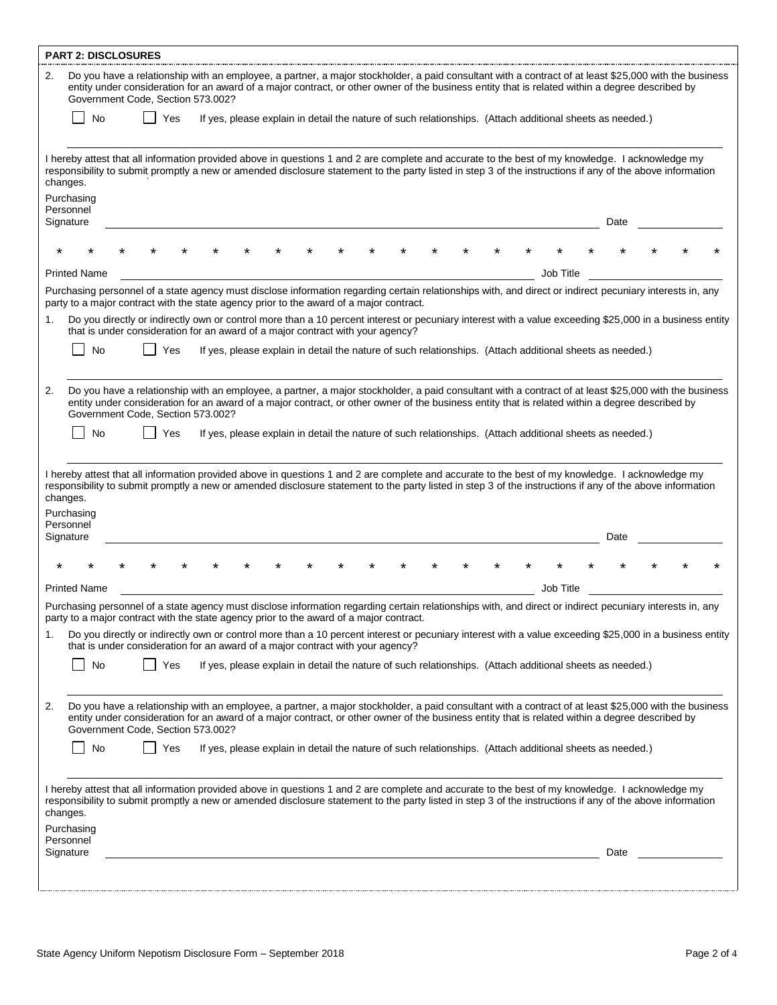| <b>PART 2: DISCLOSURES</b>                                                                                                                                                                                                                                                                                                                                                                                                                                                   |      |
|------------------------------------------------------------------------------------------------------------------------------------------------------------------------------------------------------------------------------------------------------------------------------------------------------------------------------------------------------------------------------------------------------------------------------------------------------------------------------|------|
| Do you have a relationship with an employee, a partner, a major stockholder, a paid consultant with a contract of at least \$25,000 with the business<br>2.<br>entity under consideration for an award of a major contract, or other owner of the business entity that is related within a degree described by<br>Government Code, Section 573.002?                                                                                                                          |      |
| No<br>Yes<br>If yes, please explain in detail the nature of such relationships. (Attach additional sheets as needed.)                                                                                                                                                                                                                                                                                                                                                        |      |
| I hereby attest that all information provided above in questions 1 and 2 are complete and accurate to the best of my knowledge. I acknowledge my<br>responsibility to submit promptly a new or amended disclosure statement to the party listed in step 3 of the instructions if any of the above information<br>changes.<br>Purchasing                                                                                                                                      |      |
| Personnel<br>Signature                                                                                                                                                                                                                                                                                                                                                                                                                                                       | Date |
|                                                                                                                                                                                                                                                                                                                                                                                                                                                                              |      |
| <b>Printed Name</b><br>Job Title                                                                                                                                                                                                                                                                                                                                                                                                                                             |      |
| Purchasing personnel of a state agency must disclose information regarding certain relationships with, and direct or indirect pecuniary interests in, any<br>party to a major contract with the state agency prior to the award of a major contract.                                                                                                                                                                                                                         |      |
| Do you directly or indirectly own or control more than a 10 percent interest or pecuniary interest with a value exceeding \$25,000 in a business entity<br>1.<br>that is under consideration for an award of a major contract with your agency?                                                                                                                                                                                                                              |      |
| No<br>If yes, please explain in detail the nature of such relationships. (Attach additional sheets as needed.)<br>Yes                                                                                                                                                                                                                                                                                                                                                        |      |
|                                                                                                                                                                                                                                                                                                                                                                                                                                                                              |      |
| Do you have a relationship with an employee, a partner, a major stockholder, a paid consultant with a contract of at least \$25,000 with the business<br>2.<br>entity under consideration for an award of a major contract, or other owner of the business entity that is related within a degree described by<br>Government Code, Section 573.002?                                                                                                                          |      |
| <b>No</b><br>Yes<br>If yes, please explain in detail the nature of such relationships. (Attach additional sheets as needed.)                                                                                                                                                                                                                                                                                                                                                 |      |
| I hereby attest that all information provided above in questions 1 and 2 are complete and accurate to the best of my knowledge. I acknowledge my<br>responsibility to submit promptly a new or amended disclosure statement to the party listed in step 3 of the instructions if any of the above information<br>changes.<br>Purchasing<br>Personnel<br>Signature                                                                                                            | Date |
|                                                                                                                                                                                                                                                                                                                                                                                                                                                                              |      |
| <b>Printed Name</b><br>Job Title                                                                                                                                                                                                                                                                                                                                                                                                                                             |      |
| Purchasing personnel of a state agency must disclose information regarding certain relationships with, and direct or indirect pecuniary interests in, any<br>party to a major contract with the state agency prior to the award of a major contract.                                                                                                                                                                                                                         |      |
| Do you directly or indirectly own or control more than a 10 percent interest or pecuniary interest with a value exceeding \$25,000 in a business entity<br>1.<br>that is under consideration for an award of a major contract with your agency?                                                                                                                                                                                                                              |      |
| No<br>Yes<br>If yes, please explain in detail the nature of such relationships. (Attach additional sheets as needed.)                                                                                                                                                                                                                                                                                                                                                        |      |
| Do you have a relationship with an employee, a partner, a major stockholder, a paid consultant with a contract of at least \$25,000 with the business<br>2.<br>entity under consideration for an award of a major contract, or other owner of the business entity that is related within a degree described by<br>Government Code, Section 573.002?<br>No<br>Yes<br>If yes, please explain in detail the nature of such relationships. (Attach additional sheets as needed.) |      |
| I hereby attest that all information provided above in questions 1 and 2 are complete and accurate to the best of my knowledge. I acknowledge my<br>responsibility to submit promptly a new or amended disclosure statement to the party listed in step 3 of the instructions if any of the above information<br>changes.                                                                                                                                                    |      |
| Purchasing<br>Personnel<br>Signature                                                                                                                                                                                                                                                                                                                                                                                                                                         | Date |
|                                                                                                                                                                                                                                                                                                                                                                                                                                                                              |      |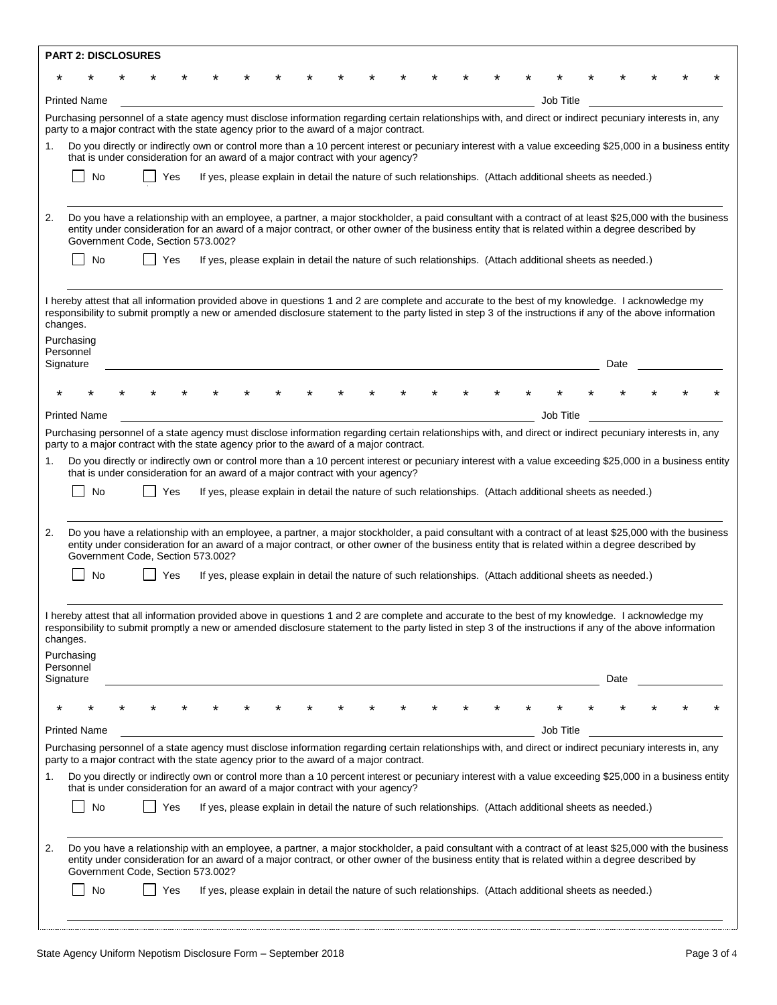|                                                                                                                                                                                                                                                                                                                                                                           | <b>PART 2: DISCLOSURES</b>                                                                                                                                                                                                                                                                                                                    |  |  |     |  |  |  |  |  |  |  |                                                                                                          |      |  |  |
|---------------------------------------------------------------------------------------------------------------------------------------------------------------------------------------------------------------------------------------------------------------------------------------------------------------------------------------------------------------------------|-----------------------------------------------------------------------------------------------------------------------------------------------------------------------------------------------------------------------------------------------------------------------------------------------------------------------------------------------|--|--|-----|--|--|--|--|--|--|--|----------------------------------------------------------------------------------------------------------|------|--|--|
|                                                                                                                                                                                                                                                                                                                                                                           |                                                                                                                                                                                                                                                                                                                                               |  |  |     |  |  |  |  |  |  |  |                                                                                                          |      |  |  |
|                                                                                                                                                                                                                                                                                                                                                                           | <b>Printed Name</b>                                                                                                                                                                                                                                                                                                                           |  |  |     |  |  |  |  |  |  |  | Job Title                                                                                                |      |  |  |
|                                                                                                                                                                                                                                                                                                                                                                           | Purchasing personnel of a state agency must disclose information regarding certain relationships with, and direct or indirect pecuniary interests in, any<br>party to a major contract with the state agency prior to the award of a major contract.                                                                                          |  |  |     |  |  |  |  |  |  |  |                                                                                                          |      |  |  |
| 1.                                                                                                                                                                                                                                                                                                                                                                        | Do you directly or indirectly own or control more than a 10 percent interest or pecuniary interest with a value exceeding \$25,000 in a business entity<br>that is under consideration for an award of a major contract with your agency?                                                                                                     |  |  |     |  |  |  |  |  |  |  |                                                                                                          |      |  |  |
|                                                                                                                                                                                                                                                                                                                                                                           | No                                                                                                                                                                                                                                                                                                                                            |  |  | Yes |  |  |  |  |  |  |  | If yes, please explain in detail the nature of such relationships. (Attach additional sheets as needed.) |      |  |  |
|                                                                                                                                                                                                                                                                                                                                                                           |                                                                                                                                                                                                                                                                                                                                               |  |  |     |  |  |  |  |  |  |  |                                                                                                          |      |  |  |
| 2.                                                                                                                                                                                                                                                                                                                                                                        | Do you have a relationship with an employee, a partner, a major stockholder, a paid consultant with a contract of at least \$25,000 with the business<br>entity under consideration for an award of a major contract, or other owner of the business entity that is related within a degree described by<br>Government Code, Section 573.002? |  |  |     |  |  |  |  |  |  |  |                                                                                                          |      |  |  |
|                                                                                                                                                                                                                                                                                                                                                                           | No                                                                                                                                                                                                                                                                                                                                            |  |  | Yes |  |  |  |  |  |  |  | If yes, please explain in detail the nature of such relationships. (Attach additional sheets as needed.) |      |  |  |
|                                                                                                                                                                                                                                                                                                                                                                           | I hereby attest that all information provided above in questions 1 and 2 are complete and accurate to the best of my knowledge. I acknowledge my<br>responsibility to submit promptly a new or amended disclosure statement to the party listed in step 3 of the instructions if any of the above information<br>changes.                     |  |  |     |  |  |  |  |  |  |  |                                                                                                          |      |  |  |
|                                                                                                                                                                                                                                                                                                                                                                           | Purchasing<br>Personnel                                                                                                                                                                                                                                                                                                                       |  |  |     |  |  |  |  |  |  |  |                                                                                                          |      |  |  |
|                                                                                                                                                                                                                                                                                                                                                                           | Signature                                                                                                                                                                                                                                                                                                                                     |  |  |     |  |  |  |  |  |  |  |                                                                                                          | Date |  |  |
|                                                                                                                                                                                                                                                                                                                                                                           |                                                                                                                                                                                                                                                                                                                                               |  |  |     |  |  |  |  |  |  |  |                                                                                                          |      |  |  |
|                                                                                                                                                                                                                                                                                                                                                                           | <b>Printed Name</b>                                                                                                                                                                                                                                                                                                                           |  |  |     |  |  |  |  |  |  |  | Job Title                                                                                                |      |  |  |
|                                                                                                                                                                                                                                                                                                                                                                           | Purchasing personnel of a state agency must disclose information regarding certain relationships with, and direct or indirect pecuniary interests in, any<br>party to a major contract with the state agency prior to the award of a major contract.                                                                                          |  |  |     |  |  |  |  |  |  |  |                                                                                                          |      |  |  |
| 1.                                                                                                                                                                                                                                                                                                                                                                        | Do you directly or indirectly own or control more than a 10 percent interest or pecuniary interest with a value exceeding \$25,000 in a business entity                                                                                                                                                                                       |  |  |     |  |  |  |  |  |  |  |                                                                                                          |      |  |  |
|                                                                                                                                                                                                                                                                                                                                                                           | that is under consideration for an award of a major contract with your agency?<br>No                                                                                                                                                                                                                                                          |  |  | Yes |  |  |  |  |  |  |  | If yes, please explain in detail the nature of such relationships. (Attach additional sheets as needed.) |      |  |  |
|                                                                                                                                                                                                                                                                                                                                                                           |                                                                                                                                                                                                                                                                                                                                               |  |  |     |  |  |  |  |  |  |  |                                                                                                          |      |  |  |
| 2.                                                                                                                                                                                                                                                                                                                                                                        | Do you have a relationship with an employee, a partner, a major stockholder, a paid consultant with a contract of at least \$25,000 with the business<br>entity under consideration for an award of a major contract, or other owner of the business entity that is related within a degree described by<br>Government Code, Section 573.002? |  |  |     |  |  |  |  |  |  |  |                                                                                                          |      |  |  |
|                                                                                                                                                                                                                                                                                                                                                                           | No                                                                                                                                                                                                                                                                                                                                            |  |  | Yes |  |  |  |  |  |  |  | If yes, please explain in detail the nature of such relationships. (Attach additional sheets as needed.) |      |  |  |
| I hereby attest that all information provided above in questions 1 and 2 are complete and accurate to the best of my knowledge. I acknowledge my<br>responsibility to submit promptly a new or amended disclosure statement to the party listed in step 3 of the instructions if any of the above information<br>changes.<br>Purchasing<br>Personnel<br>Signature<br>Date |                                                                                                                                                                                                                                                                                                                                               |  |  |     |  |  |  |  |  |  |  |                                                                                                          |      |  |  |
|                                                                                                                                                                                                                                                                                                                                                                           |                                                                                                                                                                                                                                                                                                                                               |  |  |     |  |  |  |  |  |  |  |                                                                                                          |      |  |  |
|                                                                                                                                                                                                                                                                                                                                                                           | <b>Printed Name</b>                                                                                                                                                                                                                                                                                                                           |  |  |     |  |  |  |  |  |  |  | Job Title                                                                                                |      |  |  |
|                                                                                                                                                                                                                                                                                                                                                                           | Purchasing personnel of a state agency must disclose information regarding certain relationships with, and direct or indirect pecuniary interests in, any<br>party to a major contract with the state agency prior to the award of a major contract.                                                                                          |  |  |     |  |  |  |  |  |  |  |                                                                                                          |      |  |  |
| 1.                                                                                                                                                                                                                                                                                                                                                                        | Do you directly or indirectly own or control more than a 10 percent interest or pecuniary interest with a value exceeding \$25,000 in a business entity<br>that is under consideration for an award of a major contract with your agency?                                                                                                     |  |  |     |  |  |  |  |  |  |  |                                                                                                          |      |  |  |
|                                                                                                                                                                                                                                                                                                                                                                           | No                                                                                                                                                                                                                                                                                                                                            |  |  | Yes |  |  |  |  |  |  |  | If yes, please explain in detail the nature of such relationships. (Attach additional sheets as needed.) |      |  |  |
| 2.                                                                                                                                                                                                                                                                                                                                                                        | Do you have a relationship with an employee, a partner, a major stockholder, a paid consultant with a contract of at least \$25,000 with the business<br>entity under consideration for an award of a major contract, or other owner of the business entity that is related within a degree described by<br>Government Code, Section 573.002? |  |  |     |  |  |  |  |  |  |  |                                                                                                          |      |  |  |
|                                                                                                                                                                                                                                                                                                                                                                           | No                                                                                                                                                                                                                                                                                                                                            |  |  | Yes |  |  |  |  |  |  |  | If yes, please explain in detail the nature of such relationships. (Attach additional sheets as needed.) |      |  |  |
|                                                                                                                                                                                                                                                                                                                                                                           |                                                                                                                                                                                                                                                                                                                                               |  |  |     |  |  |  |  |  |  |  |                                                                                                          |      |  |  |